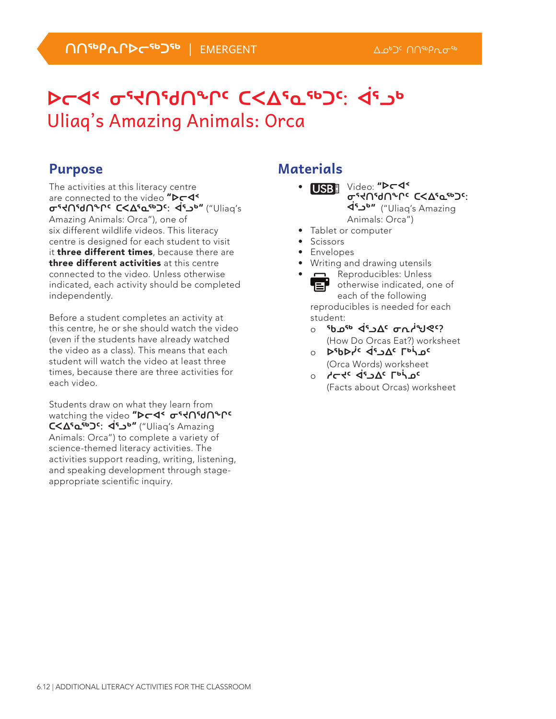# **ᐅᓕᐊᑉ ᓂᕐᔪᑎᖁᑎᖕᒋᑦ ᑕᐸᐃᕐᓇᖅᑐᑦ: ᐋᕐᓗᒃ**  Uliaq's Amazing Animals: Orca

### **Purpose**

The activities at this literacy centre are connected to the video "D<sub>T</sub>4\* **ᓂᕐᔪᑎᖁᑎᖕᒋᑦ ᑕᐸᐃᕐᓇᖅᑐᑦ: ᐋᕐᓗᒃ**" ("Uliaq's Amazing Animals: Orca"), one of six different wildlife videos. This literacy centre is designed for each student to visit it three different times, because there are three different activities at this centre connected to the video. Unless otherwise indicated, each activity should be completed independently.

Before a student completes an activity at this centre, he or she should watch the video (even if the students have already watched the video as a class). This means that each student will watch the video at least three times, because there are three activities for each video.

Students draw on what they learn from watching the video "D<del>C</del>N σες ΠεθΙΑΡΙΑ **ᑕᐸᐃᕐᓇᖅᑐᑦ: ᐋᕐᓗᒃ**" ("Uliaq's Amazing Animals: Orca") to complete a variety of science-themed literacy activities. The activities support reading, writing, listening, and speaking development through stageappropriate scientific inquiry.

### **Materials**

- USB<sup>I</sup> Video: "D<del>ed</del> **₢** • לטי סויר (<2000) **ᐋᕐᓗᒃ**" ("Uliaq's Amazing Animals: Orca")
- Tablet or computer
- Scissors
- Envelopes
- Writing and drawing utensils
- **n** Reproducibles: Unless otherwise indicated, one of Er each of the following reproducibles is needed for each student:
	- ் <sup>ק</sup>ט≫⊎<sup>ג</sup>ארס <sup>¢</sup>ס <sup>פו</sup>ס βים β (How Do Orcas Eat?) worksheet
	- **D**SbDis de JAC LOC (Orca Words) worksheet
	- ⊙ **∠⊂**≮د Di Caracter (Facts about Orcas) worksheet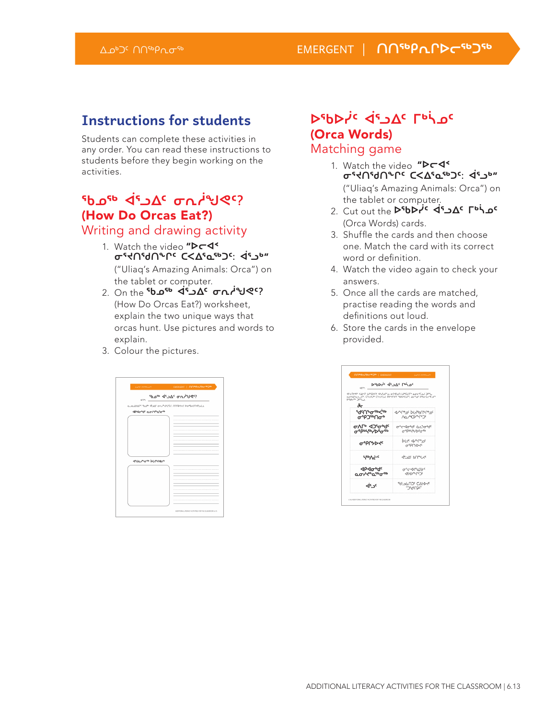### **Instructions for students**

Students can complete these activities in any order. You can read these instructions to students before they begin working on the activities.

## **ᖃᓄᖅ ᐋᕐᓗᐃᑦ ᓂᕆᓲᖑᕙᑦ?**  (How Do Orcas Eat?)

Writing and drawing activity

- 1. Watch the video "Dr4<sup><</sup> **ᓂᕐᔪᑎᖁᑎᖕᒋᑦ ᑕᐸᐃᕐᓇᖅᑐᑦ: ᐋᕐᓗᒃ**" ("Uliaq's Amazing Animals: Orca") on
- the tablet or computer. 2. On the **<sup>ፍ</sup>ხ 4 ረ<sup>፣</sup> ፈር ወጊ <sup>ነ</sup>ህ የ**ና? (How Do Orcas Eat?) worksheet, explain the two unique ways that orcas hunt. Use pictures and words to explain.
- 3. Colour the pictures.



### **Δερρής** de Lor (Orca Words) Matching game

- 1. Watch the video "D<sub>C</sub>I **ᓂᕐᔪᑎᖁᑎᖕᒋᑦ ᑕᐸᐃᕐᓇᖅᑐᑦ: ᐋᕐᓗᒃ**" ("Uliaq's Amazing Animals: Orca") on the tablet or computer.
- 2. Cut out the D<sup>5</sup>bDr<sup>ic</sup> <45 △△ Γρή 2 (Orca Words) cards.
- 3. Shuffle the cards and then choose one. Match the card with its correct word or definition.
- 4. Watch the video again to check your answers.
- 5. Once all the cards are matched, practise reading the words and definitions out loud.
- 6. Store the cards in the envelope provided.

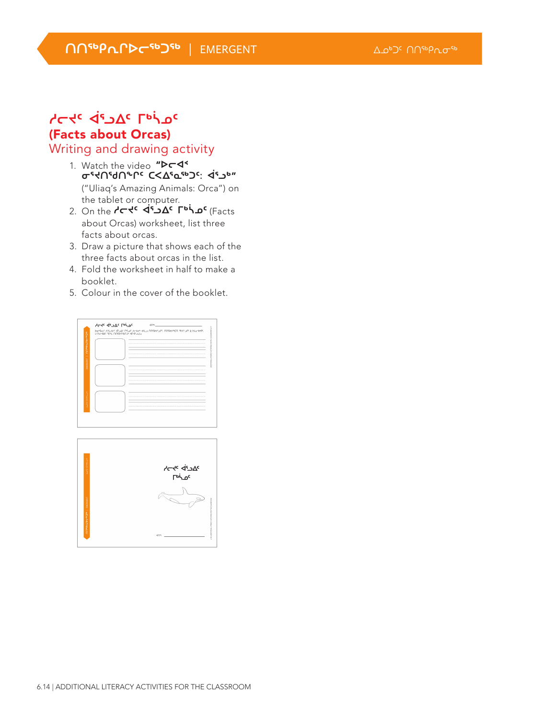*NNSPLPDCSPJSP* | EMERGENT △△▷▷□ △△▷□□ △△●□□

#### **ᓱᓕᔪᑦ ᐋᕐᓗᐃᑦ ᒥᒃᓵᓄᑦ**  (Facts about Orcas) Writing and drawing activity

- 1. Watch the video "Dr4<sup><</sup> **ᓂᕐᔪᑎᖁᑎᖕᒋᑦ ᑕᐸᐃᕐᓇᖅᑐᑦ: ᐋᕐᓗᒃ**" ("Uliaq's Amazing Animals: Orca") on the tablet or computer.
- 2. On the **dc de acts** (Facts ) 2. On the de acts about Orcas) worksheet, list three facts about orcas.
- 3. Draw a picture that shows each of the three facts about orcas in the list.
- 4. Fold the worksheet in half to make a booklet.
- 5. Colour in the cover of the booklet.

|                         | LSAmeAS for ARSPARANT SERVICE. |  |
|-------------------------|--------------------------------|--|
| <b>«Cn-3dublemulu</b>   |                                |  |
|                         |                                |  |
|                         |                                |  |
|                         |                                |  |
| EMERGENT                |                                |  |
|                         |                                |  |
|                         |                                |  |
|                         |                                |  |
|                         |                                |  |
|                         |                                |  |
|                         |                                |  |
| <b>WORKS COMPARISON</b> |                                |  |
|                         |                                |  |
|                         |                                |  |

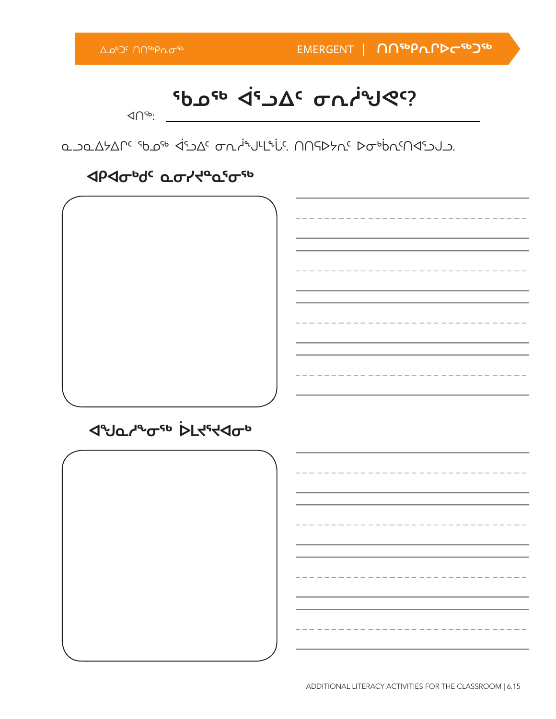**ᖃᓄᖅ ᐋᕐᓗᐃᑦ ᓂᕆᓲᖑᕙᑦ?**

ᐊᑎᖅ:

مك مكمككم الأصارية المتكسر المسابق الحامة المسابق المسابق المسابق المسابق المسابق

### **JPJOU OCTYPOSOS**

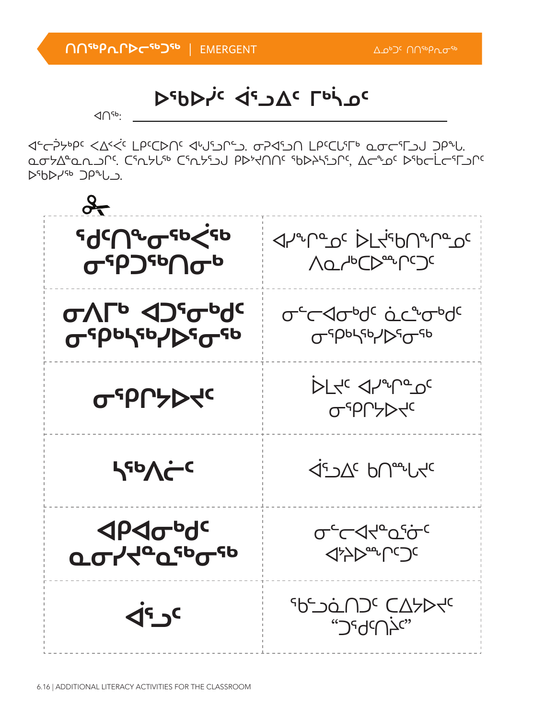

⊲←<del>`</del> مصلها عصابة الأساد المسابق المسابق المسابق المسابق المسابق المسابق المسابق المسابق ᐅᖃᐅᓯᖅ ᑐᑭᖕᒐᓗ.

ᐊᑎᖅ:

**ᐅᖃᐅᓰᑦ ᐋᕐᓗᐃᑦ ᒥᒃᓵᓄᑦ**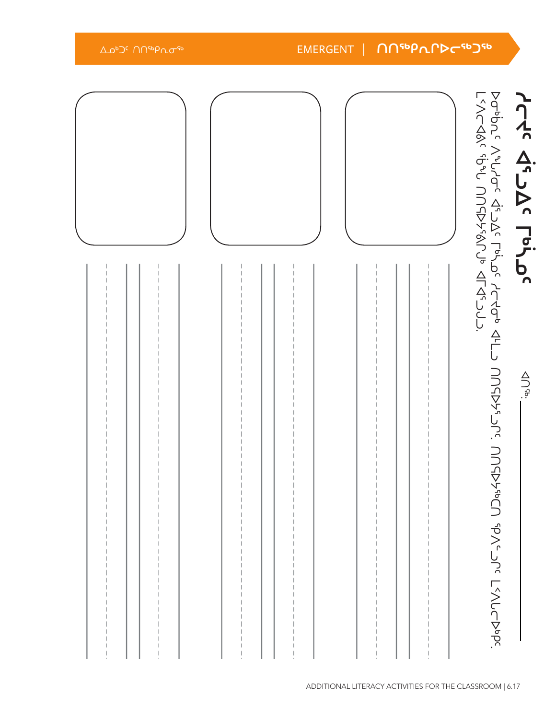| Δ Δ <sup>6</sup> Ο Π <sup>αρ</sup> Ρησ <sup>αβ</sup> |  | EMERGENT | -1 | ႶႶჼჼႼႶႶჂႠჼჼჂჼ |                                                                                           |                 |
|------------------------------------------------------|--|----------|----|---------------|-------------------------------------------------------------------------------------------|-----------------|
|                                                      |  |          |    |               |                                                                                           | Acte d'al Pohoc |
|                                                      |  |          |    |               | I-YY-HA Ki-JR Ling Ling ACHA AL<br>2/YCA8/c ibiy UUCDY6/Un ALA-J7<br>UUCPYHCU (PY-JC-JUV) | $\frac{1}{2}$   |